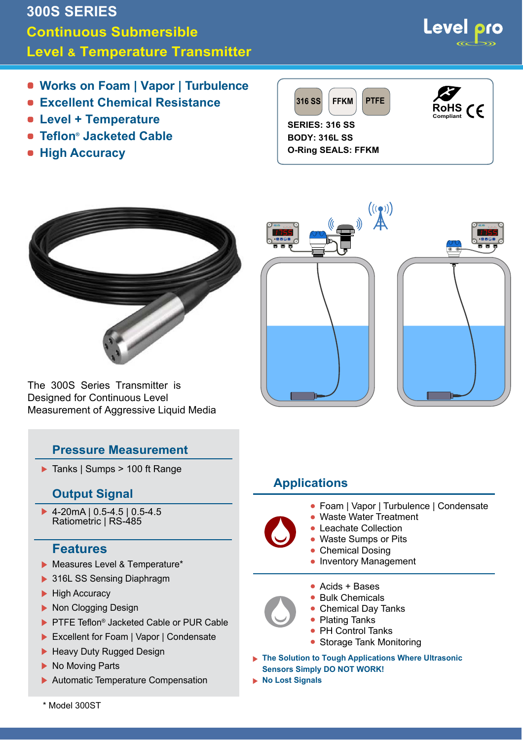# **300S SERIES Continuous Submersible Level & Temperature Transmitter**

- **Works on Foam | Vapor | Turbulence**
- **Excellent Chemical Resistance**
- **Level + Temperature**
- **Teflon ® Jacketed Cable**
- **High Accuracy**





The 300S Series Transmitter is Designed for Continuous Level Measurement of Aggressive Liquid Media

# **Pressure Measurement**

▶ Tanks | Sumps > 100 ft Range

# **Output Signal**

▶ 4-20mA | 0.5-4.5 | 0.5-4.5 Ratiometric | RS-485

# **Features**

- Measures Level & Temperature\*
- ▶ 316L SS Sensing Diaphragm
- **High Accuracy**
- ▶ Non Clogging Design
- ▶ PTFE Teflon<sup>®</sup> Jacketed Cable or PUR Cable
- ▶ Excellent for Foam | Vapor | Condensate
- ▶ Heavy Duty Rugged Design
- ▶ No Moving Parts
- Automatic Temperature Compensation



# **Applications**

- Foam | Vapor | Turbulence | Condensate
- Waste Water Treatment
- Leachate Collection •
- Waste Sumps or Pits
- Chemical Dosing
- Inventory Management
- Acids + Bases •
- Bulk Chemicals
- Chemical Day Tanks
- Plating Tanks
- PH Control Tanks
- Storage Tank Monitoring

**The Solution to Tough Applications Where Ultrasonic Sensors Simply DO NOT WORK!**

**No Lost Signals**

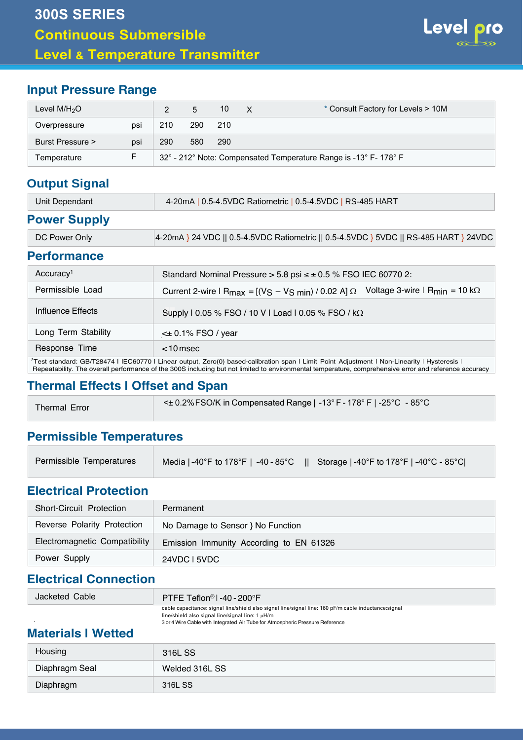

# **Input Pressure Range**

| Level $M/H2O$    |     |     | 5   | 10  | $\times$ | * Consult Factory for Levels > 10M                               |
|------------------|-----|-----|-----|-----|----------|------------------------------------------------------------------|
| Overpressure     | psi | 210 | 290 | 210 |          |                                                                  |
| Burst Pressure > | psi | 290 | 580 | 290 |          |                                                                  |
| Temperature      |     |     |     |     |          | 32° - 212° Note: Compensated Temperature Range is -13° F- 178° F |

# **Output Signal**

| Unit Dependant | 4-20mA   0.5-4.5VDC Ratiometric   0.5-4.5VDC   RS-485 HART |
|----------------|------------------------------------------------------------|
|                |                                                            |

#### **Power Supply**

| 4-20mA } 24 VDC    0.5-4.5VDC Ratiometric    0.5-4.5VDC } 5VDC    RS-485 HART } 24VDC<br>DC Power Only |
|--------------------------------------------------------------------------------------------------------|
|--------------------------------------------------------------------------------------------------------|

#### **Performance**

| Accuracy <sup>1</sup>                                                    | Standard Nominal Pressure $> 5.8$ psi $\leq \pm 0.5$ % FSO IEC 60770 2:                                                                                |  |  |  |  |  |  |
|--------------------------------------------------------------------------|--------------------------------------------------------------------------------------------------------------------------------------------------------|--|--|--|--|--|--|
| Permissible Load                                                         | Voltage 3-wire $\mathsf{I}$ R <sub>min</sub> = 10 k $\Omega$<br>Current 2-wire $ R_{max} = [(V_S - V_S_{min}) / 0.02 A] \Omega$                        |  |  |  |  |  |  |
| Influence Effects<br>Supply   0.05 % FSO / 10 V   Load   0.05 % FSO / kΩ |                                                                                                                                                        |  |  |  |  |  |  |
| Long Term Stability                                                      | $\leq$ 0.1% FSO / year                                                                                                                                 |  |  |  |  |  |  |
| Response Time<br>$<$ 10 msec                                             |                                                                                                                                                        |  |  |  |  |  |  |
|                                                                          | <sup>1</sup> Test standard: GB/T28474   IEC60770   Linear output, Zero(0) based-calibration span   Limit Point Adjustment   Non-Linearity   Hysteresis |  |  |  |  |  |  |

Repeatability. The overall performance of the 300S including but not limited to environmental temperature, comprehensive error and reference accuracy

# **Thermal Effects | Offset and Span**

| Thermal Error | $\leq$ $\pm$ 0.2% FSO/K in Compensated Range   -13° F - 178° F   -25° C - 85° C |
|---------------|---------------------------------------------------------------------------------|
|---------------|---------------------------------------------------------------------------------|

#### **Permissible Temperatures**

| Permissible Temperatures | │ Media   -40°F to 178°F   -40 - 85°C     Storage   -40°F to 178°F   -40°C - 85°C  <i> </i> |  |
|--------------------------|---------------------------------------------------------------------------------------------|--|
|--------------------------|---------------------------------------------------------------------------------------------|--|

#### **Electrical Protection**

| Short-Circuit Protection      | Permanent                               |  |  |  |  |  |
|-------------------------------|-----------------------------------------|--|--|--|--|--|
| Reverse Polarity Protection   | No Damage to Sensor } No Function       |  |  |  |  |  |
| Electromagnetic Compatibility | Emission Immunity According to EN 61326 |  |  |  |  |  |
| Power Supply                  | 24VDC L5VDC                             |  |  |  |  |  |

# **Electrical Connection**

| Jacketed Cable | PTFE Teflon <sup>®</sup> 1-40-200°F                                                                                                                            |
|----------------|----------------------------------------------------------------------------------------------------------------------------------------------------------------|
|                | cable capacitance: signal line/shield also signal line/signal line: 160 pF/m cable inductance: signal<br>line/shield also signal line/signal line: $1 \mu$ H/m |

3 or 4 Wire Cable with Integrated Air Tube for Atmospheric Pressure Reference

### **Materials | Wetted**

| Housing        | 316L SS        |
|----------------|----------------|
| Diaphragm Seal | Welded 316L SS |
| Diaphragm      | 316L SS        |